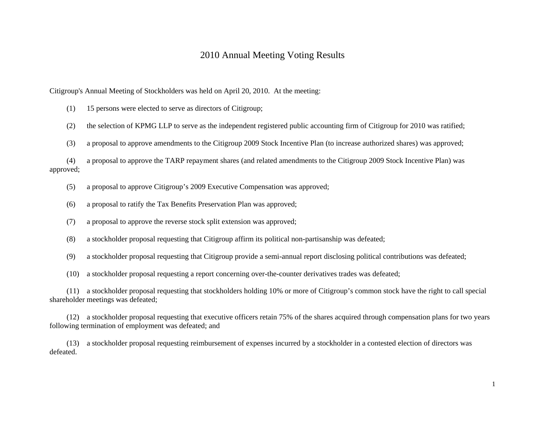## 2010 Annual Meeting Voting Results

Citigroup's Annual Meeting of Stockholders was held on April 20, 2010. At the meeting:

(1) 15 persons were elected to serve as directors of Citigroup;

(2) the selection of KPMG LLP to serve as the independent registered public accounting firm of Citigroup for 2010 was ratified;

(3) a proposal to approve amendments to the Citigroup 2009 Stock Incentive Plan (to increase authorized shares) was approved;

 (4) a proposal to approve the TARP repayment shares (and related amendments to the Citigroup 2009 Stock Incentive Plan) was approved;

(5) a proposal to approve Citigroup's 2009 Executive Compensation was approved;

- (6) a proposal to ratify the Tax Benefits Preservation Plan was approved;
- (7) a proposal to approve the reverse stock split extension was approved;
- (8) a stockholder proposal requesting that Citigroup affirm its political non-partisanship was defeated;
- (9) a stockholder proposal requesting that Citigroup provide a semi-annual report disclosing political contributions was defeated;
- (10) a stockholder proposal requesting a report concerning over-the-counter derivatives trades was defeated;

 (11) a stockholder proposal requesting that stockholders holding 10% or more of Citigroup's common stock have the right to call special shareholder meetings was defeated;

 (12) a stockholder proposal requesting that executive officers retain 75% of the shares acquired through compensation plans for two years following termination of employment was defeated; and

 (13) a stockholder proposal requesting reimbursement of expenses incurred by a stockholder in a contested election of directors was defeated.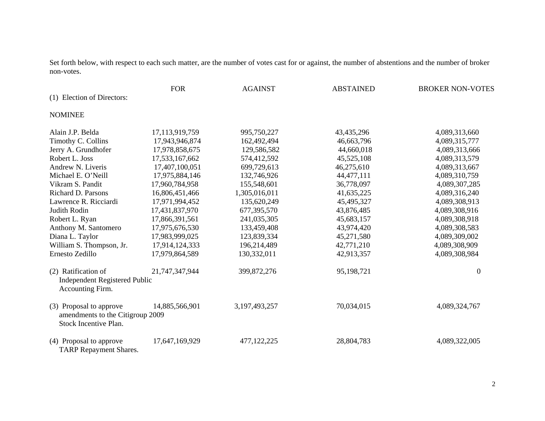Set forth below, with respect to each such matter, are the number of votes cast for or against, the number of abstentions and the number of broker non-votes.

|                                                                                      | <b>FOR</b>     | <b>AGAINST</b> | <b>ABSTAINED</b> | <b>BROKER NON-VOTES</b> |
|--------------------------------------------------------------------------------------|----------------|----------------|------------------|-------------------------|
| (1) Election of Directors:                                                           |                |                |                  |                         |
| <b>NOMINEE</b>                                                                       |                |                |                  |                         |
| Alain J.P. Belda                                                                     | 17,113,919,759 | 995,750,227    | 43,435,296       | 4,089,313,660           |
| Timothy C. Collins                                                                   | 17,943,946,874 | 162,492,494    | 46,663,796       | 4,089,315,777           |
| Jerry A. Grundhofer                                                                  | 17,978,858,675 | 129,586,582    | 44,660,018       | 4,089,313,666           |
| Robert L. Joss                                                                       | 17,533,167,662 | 574,412,592    | 45,525,108       | 4,089,313,579           |
| Andrew N. Liveris                                                                    | 17,407,100,051 | 699,729,613    | 46,275,610       | 4,089,313,667           |
| Michael E. O'Neill                                                                   | 17,975,884,146 | 132,746,926    | 44,477,111       | 4,089,310,759           |
| Vikram S. Pandit                                                                     | 17,960,784,958 | 155,548,601    | 36,778,097       | 4,089,307,285           |
| Richard D. Parsons                                                                   | 16,806,451,466 | 1,305,016,011  | 41,635,225       | 4,089,316,240           |
| Lawrence R. Ricciardi                                                                | 17,971,994,452 | 135,620,249    | 45,495,327       | 4,089,308,913           |
| Judith Rodin                                                                         | 17,431,837,970 | 677,395,570    | 43,876,485       | 4,089,308,916           |
| Robert L. Ryan                                                                       | 17,866,391,561 | 241,035,305    | 45,683,157       | 4,089,308,918           |
| Anthony M. Santomero                                                                 | 17,975,676,530 | 133,459,408    | 43,974,420       | 4,089,308,583           |
| Diana L. Taylor                                                                      | 17,983,999,025 | 123,839,334    | 45,271,580       | 4,089,309,002           |
| William S. Thompson, Jr.                                                             | 17,914,124,333 | 196,214,489    | 42,771,210       | 4,089,308,909           |
| Ernesto Zedillo                                                                      | 17,979,864,589 | 130,332,011    | 42,913,357       | 4,089,308,984           |
| (2) Ratification of<br><b>Independent Registered Public</b><br>Accounting Firm.      | 21,747,347,944 | 399, 872, 276  | 95,198,721       | $\theta$                |
| (3) Proposal to approve<br>amendments to the Citigroup 2009<br>Stock Incentive Plan. | 14,885,566,901 | 3,197,493,257  | 70,034,015       | 4,089,324,767           |
| (4) Proposal to approve<br><b>TARP</b> Repayment Shares.                             | 17,647,169,929 | 477,122,225    | 28,804,783       | 4,089,322,005           |